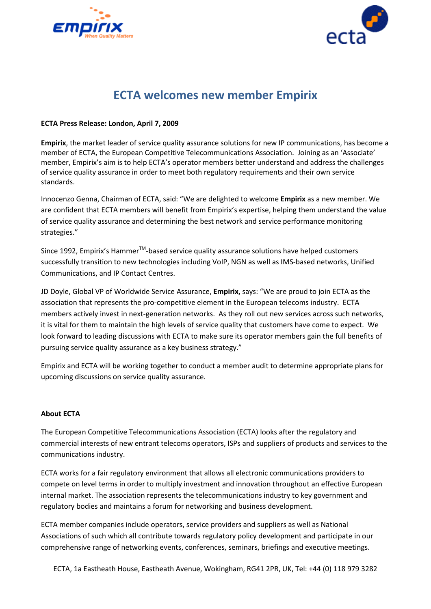



## **ECTA welcomes new member Empirix**

## **ECTA Press Release: London, April 7, 2009**

**Empirix**, the market leader of service quality assurance solutions for new IP communications, has become a member of ECTA, the European Competitive Telecommunications Association. Joining as an 'Associate' member, Empirix's aim is to help ECTA's operator members better understand and address the challenges of service quality assurance in order to meet both regulatory requirements and their own service standards.

Innocenzo Genna, Chairman of ECTA, said: "We are delighted to welcome **Empirix** as a new member. We are confident that ECTA members will benefit from Empirix's expertise, helping them understand the value of service quality assurance and determining the best network and service performance monitoring strategies."

Since 1992, Empirix's Hammer $TM$ -based service quality assurance solutions have helped customers successfully transition to new technologies including VoIP, NGN as well as IMS-based networks, Unified Communications, and IP Contact Centres.

JD Doyle, Global VP of Worldwide Service Assurance, **Empirix,** says: "We are proud to join ECTA as the association that represents the pro-competitive element in the European telecoms industry. ECTA members actively invest in next-generation networks. As they roll out new services across such networks, it is vital for them to maintain the high levels of service quality that customers have come to expect. We look forward to leading discussions with ECTA to make sure its operator members gain the full benefits of pursuing service quality assurance as a key business strategy."

Empirix and ECTA will be working together to conduct a member audit to determine appropriate plans for upcoming discussions on service quality assurance.

## **About ECTA**

The European Competitive Telecommunications Association (ECTA) looks after the regulatory and commercial interests of new entrant telecoms operators, ISPs and suppliers of products and services to the communications industry.

ECTA works for a fair regulatory environment that allows all electronic communications providers to compete on level terms in order to multiply investment and innovation throughout an effective European internal market. The association represents the telecommunications industry to key government and regulatory bodies and maintains a forum for networking and business development.

ECTA member companies include operators, service providers and suppliers as well as National Associations of such which all contribute towards regulatory policy development and participate in our comprehensive range of networking events, conferences, seminars, briefings and executive meetings.

ECTA, 1a Eastheath House, Eastheath Avenue, Wokingham, RG41 2PR, UK, Tel: +44 (0) 118 979 3282